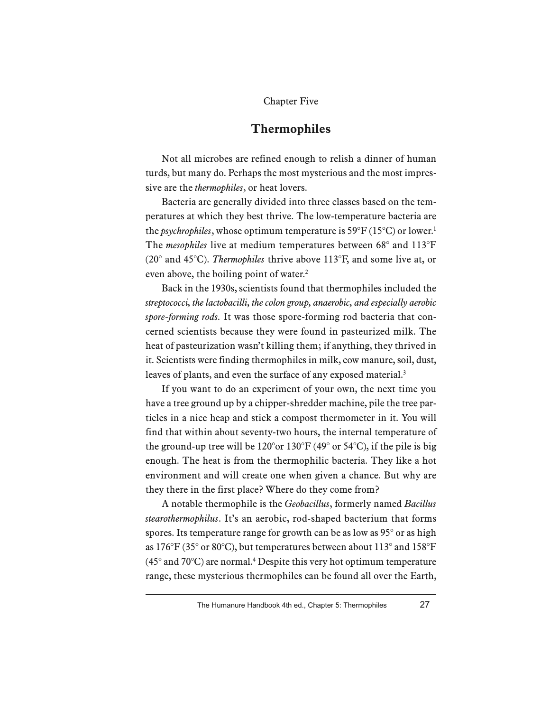## Chapter Five

## **Thermophiles**

 Not all microbes are refined enough to relish a dinner of human turds, but many do. Perhaps the most mysterious and the most impressive are the *thermophiles*, or heat lovers.

 Bacteria are generally divided into three classes based on the temperatures at which they best thrive. The low-temperature bacteria are the *psychrophiles*, whose optimum temperature is 59°F (15°C) or lower.1 The *mesophiles* live at medium temperatures between 68° and 113°F (20° and 45°C). *Thermophiles* thrive above 113°F, and some live at, or even above, the boiling point of water.2

 Back in the 1930s, scientists found that thermophiles included the *streptococci, the lactobacilli, the colon group, anaerobic, and especially aerobic spore-forming rods.* It was those spore-forming rod bacteria that concerned scientists because they were found in pasteurized milk. The heat of pasteurization wasn't killing them; if anything, they thrived in it. Scientists were finding thermophiles in milk, cow manure, soil, dust, leaves of plants, and even the surface of any exposed material.<sup>3</sup>

 If you want to do an experiment of your own, the next time you have a tree ground up by a chipper-shredder machine, pile the tree particles in a nice heap and stick a compost thermometer in it. You will find that within about seventy-two hours, the internal temperature of the ground-up tree will be  $120^{\circ}$  or  $130^{\circ}$  F (49° or 54°C), if the pile is big enough. The heat is from the thermophilic bacteria. They like a hot environment and will create one when given a chance. But why are they there in the first place? Where do they come from?

 A notable thermophile is the *Geobacillus*, formerly named *Bacillus stearothermophilus*. It's an aerobic, rod-shaped bacterium that forms spores. Its temperature range for growth can be as low as 95° or as high as 176°F (35° or 80°C), but temperatures between about 113° and 158°F  $(45^{\circ}$  and  $70^{\circ}$ C) are normal.<sup>4</sup> Despite this very hot optimum temperature range, these mysterious thermophiles can be found all over the Earth,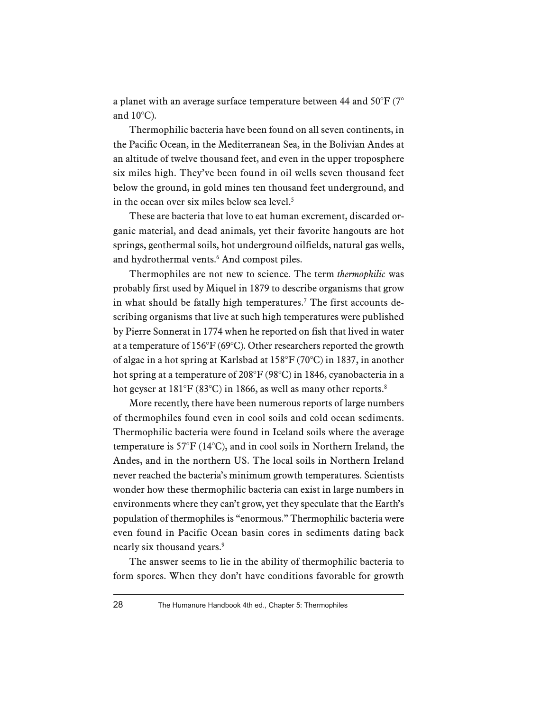a planet with an average surface temperature between 44 and  $50^{\circ}$ F (7 $^{\circ}$ and  $10^{\circ}$ C).

 Thermophilic bacteria have been found on all seven continents, in the Pacific Ocean, in the Mediterranean Sea, in the Bolivian Andes at an altitude of twelve thousand feet, and even in the upper troposphere six miles high. They've been found in oil wells seven thousand feet below the ground, in gold mines ten thousand feet underground, and in the ocean over six miles below sea level.<sup>5</sup>

 These are bacteria that love to eat human excrement, discarded organic material, and dead animals, yet their favorite hangouts are hot springs, geothermal soils, hot underground oilfields, natural gas wells, and hydrothermal vents.<sup>6</sup> And compost piles.

 Thermophiles are not new to science. The term *thermophilic* was probably first used by Miquel in 1879 to describe organisms that grow in what should be fatally high temperatures.<sup>7</sup> The first accounts describing organisms that live at such high temperatures were published by Pierre Sonnerat in 1774 when he reported on fish that lived in water at a temperature of 156°F (69°C). Other researchers reported the growth of algae in a hot spring at Karlsbad at 158°F (70°C) in 1837, in another hot spring at a temperature of 208°F (98°C) in 1846, cyanobacteria in a hot geyser at 181°F (83°C) in 1866, as well as many other reports.<sup>8</sup>

 More recently, there have been numerous reports of large numbers of thermophiles found even in cool soils and cold ocean sediments. Thermophilic bacteria were found in Iceland soils where the average temperature is 57°F (14°C), and in cool soils in Northern Ireland, the Andes, and in the northern US. The local soils in Northern Ireland never reached the bacteria's minimum growth temperatures. Scientists wonder how these thermophilic bacteria can exist in large numbers in environments where they can't grow, yet they speculate that the Earth's population of thermophiles is "enormous." Thermophilic bacteria were even found in Pacific Ocean basin cores in sediments dating back nearly six thousand years.<sup>9</sup>

 The answer seems to lie in the ability of thermophilic bacteria to form spores. When they don't have conditions favorable for growth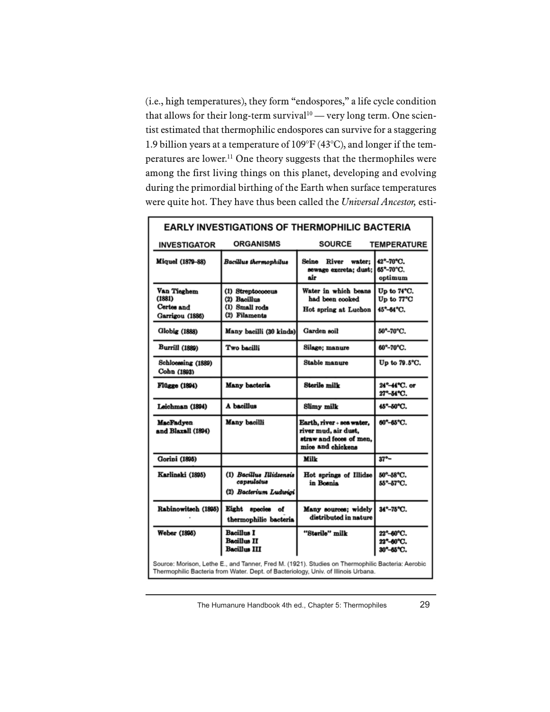(i.e., high temperatures), they form "endospores," a life cycle condition that allows for their long-term survival<sup>10</sup> — very long term. One scientist estimated that thermophilic endospores can survive for a staggering 1.9 billion years at a temperature of 109°F (43°C), and longer if the temperatures are lower.<sup>11</sup> One theory suggests that the thermophiles were among the first living things on this planet, developing and evolving during the primordial birthing of the Earth when surface temperatures were quite hot. They have thus been called the *Universal Ancestor,* esti-

| <b>EARLY INVESTIGATIONS OF THERMOPHILIC BACTERIA</b>                                                                                                                                   |                                                                      |                                                                                                   |                                                  |
|----------------------------------------------------------------------------------------------------------------------------------------------------------------------------------------|----------------------------------------------------------------------|---------------------------------------------------------------------------------------------------|--------------------------------------------------|
| <b>INVESTIGATOR</b>                                                                                                                                                                    | <b>ORGANISMS</b>                                                     | <b>SOURCE</b>                                                                                     | <b>TEMPERATURE</b>                               |
| <b>Miquel</b> (1879-88)                                                                                                                                                                | Bacillus thermophilus                                                | Seine<br>River water:<br>sewage excreta; dust;<br>air                                             | 42°-70°C.<br>65°-70°C.<br>optimum                |
| Van Tieghem<br>(1881)<br>Certes and<br>Garrigou (1886)                                                                                                                                 | (1) Streptococcus<br>(2) Bacillus<br>(1) Small rods<br>(2) Filaments | Water in which beans<br>had been cooked<br>Hot spring at Luchon                                   | Up to $74^{\circ}$ C.<br>Up to 77°C<br>45°-64°C. |
| Globig (1888)                                                                                                                                                                          | Many bacilli (30 kinds)                                              | Garden soil                                                                                       | 50°-70°C.                                        |
| <b>Burrill (1889)</b>                                                                                                                                                                  | Two bacilli                                                          | Silage; manure                                                                                    | 60°-70°C.                                        |
| Schloessing (1889)<br>Cohn (1893)                                                                                                                                                      |                                                                      | Stable manure                                                                                     | Up to 79.5°C.                                    |
| <b>Flügge (1894)</b>                                                                                                                                                                   | Many bacteria                                                        | <b>Sterile milk</b>                                                                               | 24°-44°C. or<br>27°-54°C.                        |
| Leichman (1894)                                                                                                                                                                        | A bacillus                                                           | Slimy milk                                                                                        | 45°-50°C.                                        |
| MacFadven<br>and Blaxall (1894)                                                                                                                                                        | Many bacilli                                                         | Earth, river + sea water.<br>river mud, air dust,<br>straw and feces of men.<br>mice and chickens | 60°-65°C.                                        |
| Gorini (1895)                                                                                                                                                                          |                                                                      | Milk                                                                                              | $37^{\circ}$ -                                   |
| Karlinski (1895)                                                                                                                                                                       | (1) Bacillus Illidzensis<br>capsulatus<br>(2) Bacterium Ludwigi      | Hot springs of Illidze<br>in Bosnia                                                               | 50°-58°C.<br>55°-57°C.                           |
| Rabinowitsch (1895)                                                                                                                                                                    | Eight species of<br>thermophilic bacteria                            | Many sources; widely<br>distributed in nature                                                     | 34°-75°C.                                        |
| Weber (1895)                                                                                                                                                                           | <b>Bacillus I</b><br>Bacillus II<br>Bacillus III                     | "Sterile" milk                                                                                    | 22°-60°C.<br>22°-60°C.<br>30°-65°C.              |
| Source: Morison, Lethe E., and Tanner, Fred M. (1921). Studies on Thermophilic Bacteria: Aerobic<br>Thermophilic Bacteria from Water. Dept. of Bacteriology, Univ. of Illinois Urbana. |                                                                      |                                                                                                   |                                                  |

The Humanure Handbook 4th ed., Chapter 5: Thermophiles 29